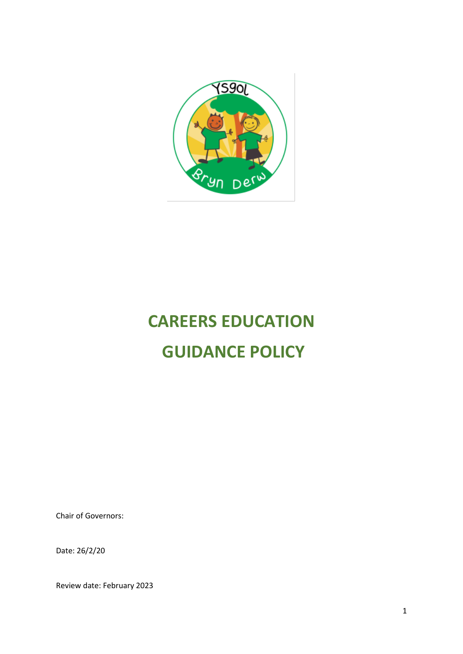

# **CAREERS EDUCATION GUIDANCE POLICY**

Chair of Governors:

Date: 26/2/20

Review date: February 2023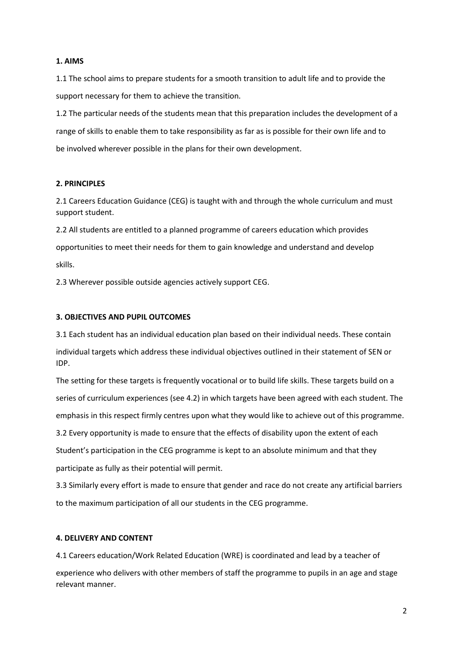#### **1. AIMS**

1.1 The school aims to prepare students for a smooth transition to adult life and to provide the support necessary for them to achieve the transition.

1.2 The particular needs of the students mean that this preparation includes the development of a range of skills to enable them to take responsibility as far as is possible for their own life and to be involved wherever possible in the plans for their own development.

## **2. PRINCIPLES**

2.1 Careers Education Guidance (CEG) is taught with and through the whole curriculum and must support student.

2.2 All students are entitled to a planned programme of careers education which provides opportunities to meet their needs for them to gain knowledge and understand and develop skills.

2.3 Wherever possible outside agencies actively support CEG.

### **3. OBJECTIVES AND PUPIL OUTCOMES**

3.1 Each student has an individual education plan based on their individual needs. These contain individual targets which address these individual objectives outlined in their statement of SEN or IDP.

The setting for these targets is frequently vocational or to build life skills. These targets build on a series of curriculum experiences (see 4.2) in which targets have been agreed with each student. The emphasis in this respect firmly centres upon what they would like to achieve out of this programme.

3.2 Every opportunity is made to ensure that the effects of disability upon the extent of each Student's participation in the CEG programme is kept to an absolute minimum and that they participate as fully as their potential will permit.

3.3 Similarly every effort is made to ensure that gender and race do not create any artificial barriers to the maximum participation of all our students in the CEG programme.

### **4. DELIVERY AND CONTENT**

4.1 Careers education/Work Related Education (WRE) is coordinated and lead by a teacher of experience who delivers with other members of staff the programme to pupils in an age and stage relevant manner.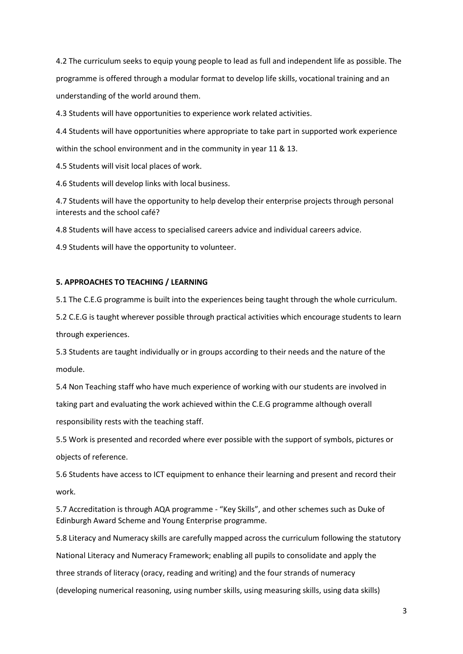4.2 The curriculum seeks to equip young people to lead as full and independent life as possible. The programme is offered through a modular format to develop life skills, vocational training and an understanding of the world around them.

4.3 Students will have opportunities to experience work related activities.

4.4 Students will have opportunities where appropriate to take part in supported work experience within the school environment and in the community in year 11 & 13.

4.5 Students will visit local places of work.

4.6 Students will develop links with local business.

4.7 Students will have the opportunity to help develop their enterprise projects through personal interests and the school café?

4.8 Students will have access to specialised careers advice and individual careers advice.

4.9 Students will have the opportunity to volunteer.

#### **5. APPROACHES TO TEACHING / LEARNING**

5.1 The C.E.G programme is built into the experiences being taught through the whole curriculum.

5.2 C.E.G is taught wherever possible through practical activities which encourage students to learn through experiences.

5.3 Students are taught individually or in groups according to their needs and the nature of the module.

5.4 Non Teaching staff who have much experience of working with our students are involved in taking part and evaluating the work achieved within the C.E.G programme although overall responsibility rests with the teaching staff.

5.5 Work is presented and recorded where ever possible with the support of symbols, pictures or objects of reference.

5.6 Students have access to ICT equipment to enhance their learning and present and record their work.

5.7 Accreditation is through AQA programme - "Key Skills", and other schemes such as Duke of Edinburgh Award Scheme and Young Enterprise programme.

5.8 Literacy and Numeracy skills are carefully mapped across the curriculum following the statutory National Literacy and Numeracy Framework; enabling all pupils to consolidate and apply the three strands of literacy (oracy, reading and writing) and the four strands of numeracy (developing numerical reasoning, using number skills, using measuring skills, using data skills)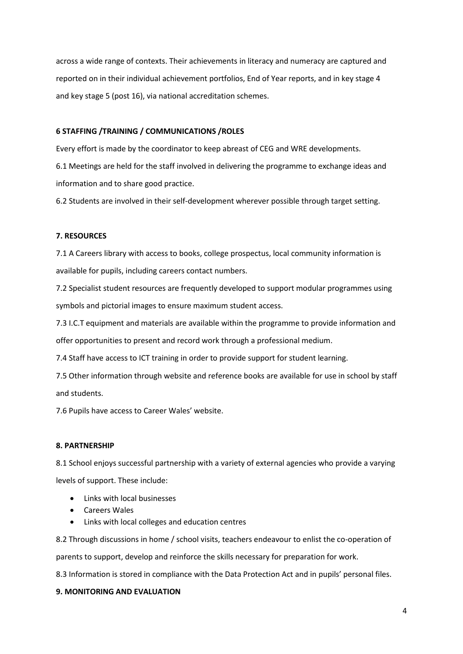across a wide range of contexts. Their achievements in literacy and numeracy are captured and reported on in their individual achievement portfolios, End of Year reports, and in key stage 4 and key stage 5 (post 16), via national accreditation schemes.

### **6 STAFFING /TRAINING / COMMUNICATIONS /ROLES**

Every effort is made by the coordinator to keep abreast of CEG and WRE developments. 6.1 Meetings are held for the staff involved in delivering the programme to exchange ideas and information and to share good practice.

6.2 Students are involved in their self-development wherever possible through target setting.

# **7. RESOURCES**

7.1 A Careers library with access to books, college prospectus, local community information is available for pupils, including careers contact numbers.

7.2 Specialist student resources are frequently developed to support modular programmes using symbols and pictorial images to ensure maximum student access.

7.3 I.C.T equipment and materials are available within the programme to provide information and offer opportunities to present and record work through a professional medium.

7.4 Staff have access to ICT training in order to provide support for student learning.

7.5 Other information through website and reference books are available for use in school by staff and students.

7.6 Pupils have access to Career Wales' website.

### **8. PARTNERSHIP**

8.1 School enjoys successful partnership with a variety of external agencies who provide a varying levels of support. These include:

- Links with local businesses
- Careers Wales
- Links with local colleges and education centres

8.2 Through discussions in home / school visits, teachers endeavour to enlist the co-operation of

parents to support, develop and reinforce the skills necessary for preparation for work.

8.3 Information is stored in compliance with the Data Protection Act and in pupils' personal files.

### **9. MONITORING AND EVALUATION**